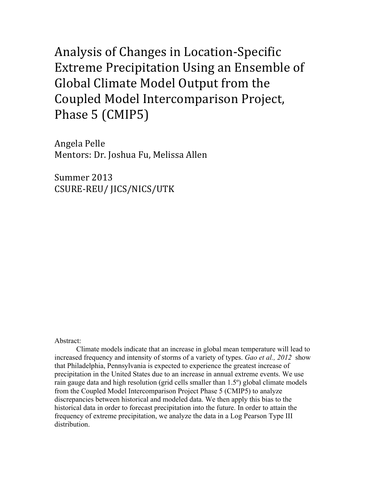Analysis of Changes in Location-Specific Extreme Precipitation Using an Ensemble of Global Climate Model Output from the Coupled Model Intercomparison Project, Phase 5 (CMIP5)

Angela Pelle Mentors: Dr. Joshua Fu, Melissa Allen

Summer 2013 CSURE-REU/ JICS/NICS/UTK

#### Abstract:

Climate models indicate that an increase in global mean temperature will lead to increased frequency and intensity of storms of a variety of types. *Gao et al., 2012* show that Philadelphia, Pennsylvania is expected to experience the greatest increase of precipitation in the United States due to an increase in annual extreme events. We use rain gauge data and high resolution (grid cells smaller than 1.5º) global climate models from the Coupled Model Intercomparison Project Phase 5 (CMIP5) to analyze discrepancies between historical and modeled data. We then apply this bias to the historical data in order to forecast precipitation into the future. In order to attain the frequency of extreme precipitation, we analyze the data in a Log Pearson Type III distribution.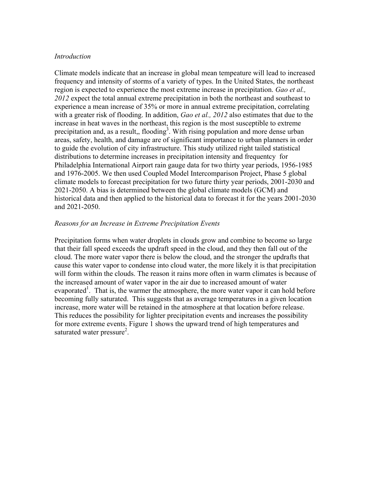#### *Introduction*

Climate models indicate that an increase in global mean tempeature will lead to increased frequency and intensity of storms of a variety of types. In the United States, the northeast region is expected to experience the most extreme increase in precipitation. *Gao et al., 2012* expect the total annual extreme precipitation in both the northeast and southeast to experience a mean increase of 35% or more in annual extreme precipitation, correlating with a greater risk of flooding. In addition, *Gao et al., 2012* also estimates that due to the increase in heat waves in the northeast, this region is the most susceptible to extreme precipitation and, as a result,, flooding<sup>3</sup>. With rising population and more dense urban areas, safety, health, and damage are of significant importance to urban planners in order to guide the evolution of city infrastructure. This study utilized right tailed statistical distributions to determine increases in precipitation intensity and frequentcy for Philadelphia International Airport rain gauge data for two thirty year periods, 1956-1985 and 1976-2005. We then used Coupled Model Intercomparison Project, Phase 5 global climate models to forecast precipitation for two future thirty year periods, 2001-2030 and 2021-2050. A bias is determined between the global climate models (GCM) and historical data and then applied to the historical data to forecast it for the years 2001-2030 and 2021-2050.

### *Reasons for an Increase in Extreme Precipitation Events*

Precipitation forms when water droplets in clouds grow and combine to become so large that their fall speed exceeds the updraft speed in the cloud, and they then fall out of the cloud. The more water vapor there is below the cloud, and the stronger the updrafts that cause this water vapor to condense into cloud water, the more likely it is that precipitation will form within the clouds. The reason it rains more often in warm climates is because of the increased amount of water vapor in the air due to increased amount of water evaporated<sup>1</sup>. That is, the warmer the atmosphere, the more water vapor it can hold before becoming fully saturated. This suggests that as average temperatures in a given location increase, more water will be retained in the atmosphere at that location before release. This reduces the possibility for lighter precipitation events and increases the possibility for more extreme events. Figure 1 shows the upward trend of high temperatures and saturated water pressure<sup>2</sup>.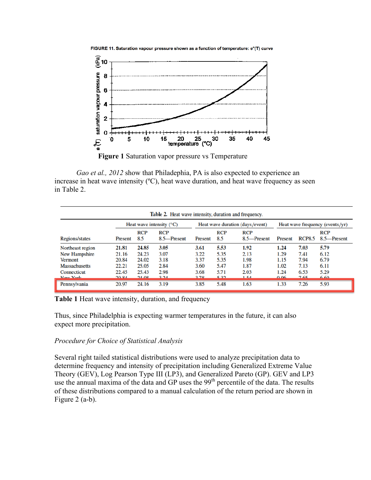

FIGURE 11. Saturation vapour pressure shown as a function of temperature: e°(T) curve

**Figure 1** Saturation vapor pressure vs Temperature

*Gao et al., 2012* show that Philadephia, PA is also expected to experience an increase in heat wave intensity (ºC), heat wave duration, and heat wave frequency as seen in Table 2.

| <b>Regions/states</b> | Heat wave intensity $(^{\circ}C)$ |                   |                           | Heat wave duration (days/event) |                   |                           | Heat wave frequency (events/yr) |               |                           |
|-----------------------|-----------------------------------|-------------------|---------------------------|---------------------------------|-------------------|---------------------------|---------------------------------|---------------|---------------------------|
|                       | Present                           | <b>RCP</b><br>8.5 | <b>RCP</b><br>8.5-Present | Present                         | <b>RCP</b><br>8.5 | <b>RCP</b><br>8.5-Present | Present                         | <b>RCP8.5</b> | <b>RCP</b><br>8.5-Present |
| Northeast region      | 21.81                             | 24.85             | 3.05                      | 3.61                            | 5.53              | 1.92                      | 1.24                            | 7.03          | 5.79                      |
| New Hampshire         | 21.16                             | 24.23             | 3.07                      | 3.22                            | 5.35              | 2.13                      | 1.29                            | 7.41          | 6.12                      |
| <b>Vermont</b>        | 20.84                             | 24.02             | 3.18                      | 3.37                            | 5.35              | 1.98                      | 1.15                            | 7.94          | 6.79                      |
| <b>Massachusetts</b>  | 22.21                             | 25.05             | 2.84                      | 3.60                            | 5.47              | 1.87                      | 1.02                            | 7.13          | 6.11                      |
| Connecticut           | 22.45                             | 25.43             | 2.98                      | 3.68                            | 5.71              | 2.03                      | 1.24                            | 6.53          | 5.29                      |
| Mau Vork              | 20.84                             | 2408              | 2.24                      | 270                             | 522               | 154                       | <u>0.06</u>                     | 765           | 6.60                      |
| Pennsylvania          | 20.97                             | 24.16             | 3.19                      | 3.85                            | 5.48              | 1.63                      | 1.33                            | 7.26          | 5.93                      |

**Table 1** Heat wave intensity, duration, and frequency

Thus, since Philadelphia is expecting warmer temperatures in the future, it can also expect more precipitation.

### *Procedure for Choice of Statistical Analysis*

Several right tailed statistical distributions were used to analyze precipitation data to determine frequency and intensity of precipitation including Generalized Extreme Value Theory (GEV), Log Pearson Type III (LP3), and Generalized Pareto (GP). GEV and LP3 use the annual maxima of the data and GP uses the 99<sup>th</sup> percentile of the data. The results of these distributions compared to a manual calculation of the return period are shown in Figure 2 (a-b).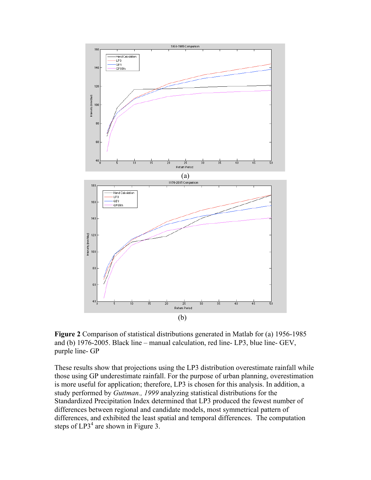

**Figure 2** Comparison of statistical distributions generated in Matlab for (a) 1956-1985 and (b) 1976-2005. Black line – manual calculation, red line- LP3, blue line- GEV, purple line- GP

These results show that projections using the LP3 distribution overestimate rainfall while those using GP underestimate rainfall. For the purpose of urban planning, overestimation is more useful for application; therefore, LP3 is chosen for this analysis. In addition, a study performed by *Guttman., 1999* analyzing statistical distributions for the Standardized Precipitation Index determined that LP3 produced the fewest number of differences between regional and candidate models, most symmetrical pattern of differences, and exhibited the least spatial and temporal differences. The computation steps of  $LP3<sup>4</sup>$  are shown in Figure 3.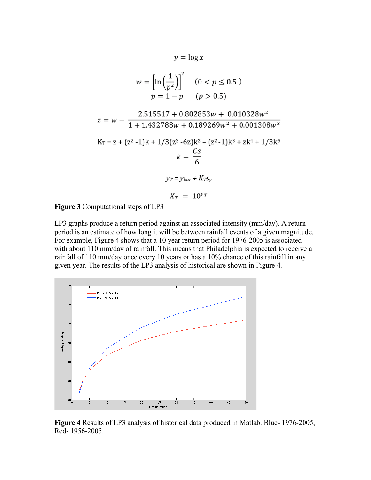$$
y = \log x
$$
  
\n
$$
w = \left[\ln\left(\frac{1}{p^2}\right)\right]^2 \quad (0 < p \le 0.5)
$$
  
\n
$$
p = 1 - p \quad (p > 0.5)
$$
  
\n
$$
z = w - \frac{2.515517 + 0.802853w + 0.010328w^2}{1 + 1.432788w + 0.189269w^2 + 0.001308w^3}
$$
  
\n
$$
K_T = z + (z^2 - 1)k + 1/3(z^3 - 6z)k^2 - (z^2 - 1)k^3 + zk^4 + 1/3k^5
$$
  
\n
$$
k = \frac{Cs}{6}
$$
  
\n
$$
y_T = y_{bar} + K_{TSy}
$$
  
\n
$$
X_T = 10^{YT}
$$

**Figure 3** Computational steps of LP3

LP3 graphs produce a return period against an associated intensity (mm/day). A return period is an estimate of how long it will be between rainfall events of a given magnitude. For example, Figure 4 shows that a 10 year return period for 1976-2005 is associated with about 110 mm/day of rainfall. This means that Philadelphia is expected to receive a rainfall of 110 mm/day once every 10 years or has a 10% chance of this rainfall in any given year. The results of the LP3 analysis of historical are shown in Figure 4.



**Figure 4** Results of LP3 analysis of historical data produced in Matlab. Blue- 1976-2005, Red- 1956-2005.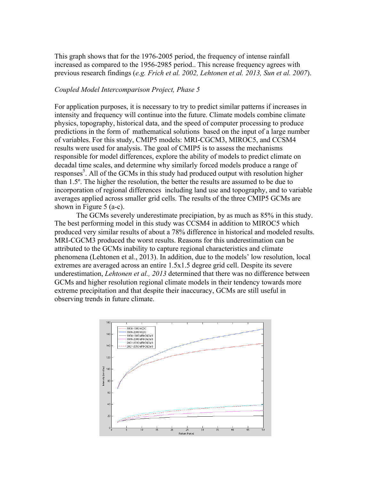This graph shows that for the 1976-2005 period, the frequency of intense rainfall increased as compared to the 1956-2985 period.. This ncrease frequency agrees with previous research findings (*e.g. Frich et al. 2002, Lehtonen et al. 2013, Sun et al. 2007*).

#### *Coupled Model Intercomparison Project, Phase 5*

For application purposes, it is necessary to try to predict similar patterns if increases in intensity and frequency will continue into the future. Climate models combine climate physics, topography, historical data, and the speed of computer processing to produce predictions in the form of mathematical solutions based on the input of a large number of variables. For this study, CMIP5 models: MRI-CGCM3, MIROC5, and CCSM4 results were used for analysis. The goal of CMIP5 is to assess the mechanisms responsible for model differences, explore the ability of models to predict climate on decadal time scales, and determine why similarly forced models produce a range of responses<sup>5</sup>. All of the GCMs in this study had produced output with resolution higher than 1.5º. The higher the resolution, the better the results are assumed to be due to incorporation of regional differences including land use and topography, and to variable averages applied across smaller grid cells. The results of the three CMIP5 GCMs are shown in Figure 5 (a-c).

The GCMs severely underestimate precipiation, by as much as 85% in this study. The best performing model in this study was CCSM4 in addition to MIROC5 which produced very similar results of about a 78% difference in historical and modeled results. MRI-CGCM3 produced the worst results. Reasons for this underestimation can be attributed to the GCMs inability to capture regional characteristics and climate phenomena (Lehtonen et al., 2013). In addition, due to the models' low resolution, local extremes are averaged across an entire 1.5x1.5 degree grid cell. Despite its severe underestimation, *Lehtonen et al., 2013* determined that there was no difference between GCMs and higher resolution regional climate models in their tendency towards more extreme precipitation and that despite their inaccuracy, GCMs are still useful in observing trends in future climate.

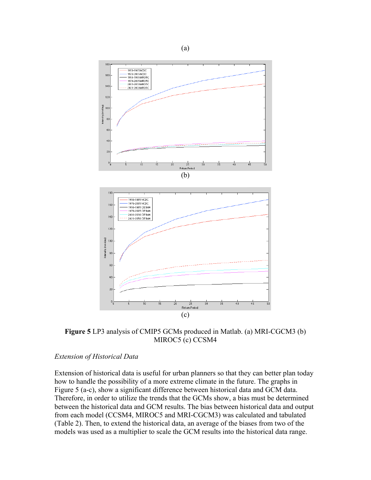

**Figure 5** LP3 analysis of CMIP5 GCMs produced in Matlab. (a) MRI-CGCM3 (b) MIROC5 (c) CCSM4

#### *Extension of Historical Data*

Extension of historical data is useful for urban planners so that they can better plan today how to handle the possibility of a more extreme climate in the future. The graphs in Figure 5 (a-c), show a significant difference between historical data and GCM data. Therefore, in order to utilize the trends that the GCMs show, a bias must be determined between the historical data and GCM results. The bias between historical data and output from each model (CCSM4, MIROC5 and MRI-CGCM3) was calculated and tabulated (Table 2). Then, to extend the historical data, an average of the biases from two of the models was used as a multiplier to scale the GCM results into the historical data range.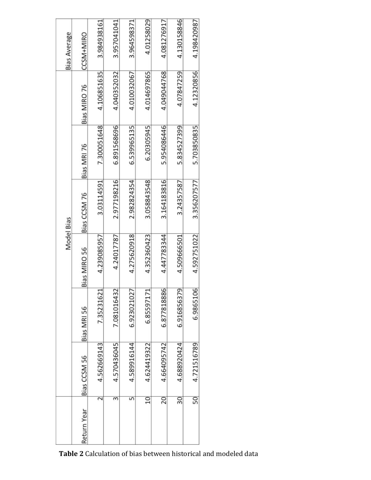| <b>Bias Average</b> | CCSM+MIRO    | 3.984938161 | 3.957041041 | 3.964598371 | 4.01258029  | 4.081276917 | 4.130158846 | 4.198420987 |
|---------------------|--------------|-------------|-------------|-------------|-------------|-------------|-------------|-------------|
|                     |              |             |             |             |             |             |             |             |
| Model Bias          | Bias MIRO 76 | 4.106851635 | 4.040352032 | 4.010032067 | 4.014697865 | 4.049044768 | 4.07847259  | 4.12320856  |
|                     | Bias MRI 76  | 7.300051648 | 6.891568696 | 6.539965135 | 6.20305945  | 5.954086446 | 5.834527399 | 5.703850835 |
|                     | Bias CCSM 76 | 3.03114591  | 2.977198216 | 2.982824354 | 3.058843548 | 3.164183816 | 3.24357587  | 3.356207577 |
|                     | Bias MIRO 56 | 4.239085957 | 4.24017787  | 4.275620918 | 4.352360423 | 4.447783344 | 4.509666501 | 4.592751022 |
|                     | Bias MRI 56  | 7.35231621  | 7.081016432 | 6.923021027 | 6.85597171  | 6.877818886 | 6.916856379 | 6.9865106   |
|                     | Bias CCSM 56 | 4.562669143 | 4.570436045 | 4.589916144 | 4.624419322 | 4.664095742 | 4.688920424 | 4.721516789 |
|                     | Return Year  |             | m           | 5           | $\Xi$       | 20          | 30          | 50          |

Table 2 Calculation of bias between historical and modeled data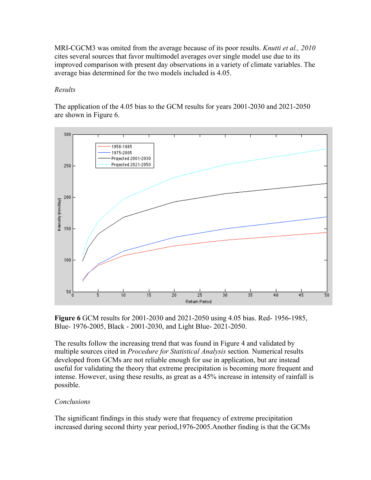MRI-CGCM3 was omited from the average because of its poor results. *Knutti et al., 2010*  cites several sources that favor multimodel averages over single model use due to its improved comparison with present day observations in a variety of climate variables. The average bias determined for the two models included is 4.05.

## *Results*

The application of the 4.05 bias to the GCM results for years 2001-2030 and 2021-2050 are shown in Figure 6.



**Figure 6** GCM results for 2001-2030 and 2021-2050 using 4.05 bias. Red- 1956-1985, Blue- 1976-2005, Black - 2001-2030, and Light Blue- 2021-2050.

The results follow the increasing trend that was found in Figure 4 and validated by multiple sources cited in *Procedure for Statistical Analysis* section*.* Numerical results developed from GCMs are not reliable enough for use in application, but are instead useful for validating the theory that extreme precipitation is becoming more frequent and intense. However, using these results, as great as a 45% increase in intensity of rainfall is possible.

## *Conclusions*

The significant findings in this study were that frequency of extreme precipitation increased during second thirty year period,1976-2005.Another finding is that the GCMs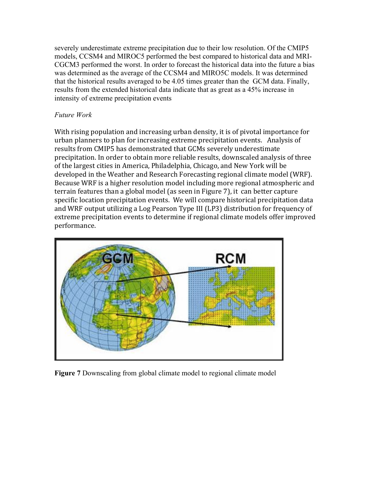severely underestimate extreme precipitation due to their low resolution. Of the CMIP5 models, CCSM4 and MIROC5 performed the best compared to historical data and MRI-CGCM3 performed the worst. In order to forecast the historical data into the future a bias was determined as the average of the CCSM4 and MIRO5C models. It was determined that the historical results averaged to be 4.05 times greater than the GCM data. Finally, results from the extended historical data indicate that as great as a 45% increase in intensity of extreme precipitation events

# *Future Work*

With rising population and increasing urban density, it is of pivotal importance for urban planners to plan for increasing extreme precipitation events. Analysis of results from CMIP5 has demonstrated that GCMs severely underestimate precipitation. In order to obtain more reliable results, downscaled analysis of three of the largest cities in America, Philadelphia, Chicago, and New York will be developed in the Weather and Research Forecasting regional climate model (WRF). Because WRF is a higher resolution model including more regional atmospheric and terrain features than a global model (as seen in Figure 7), it can better capture specific location precipitation events. We will compare historical precipitation data and WRF output utilizing a Log Pearson Type III (LP3) distribution for frequency of extreme precipitation events to determine if regional climate models offer improved performance. 



**Figure 7** Downscaling from global climate model to regional climate model